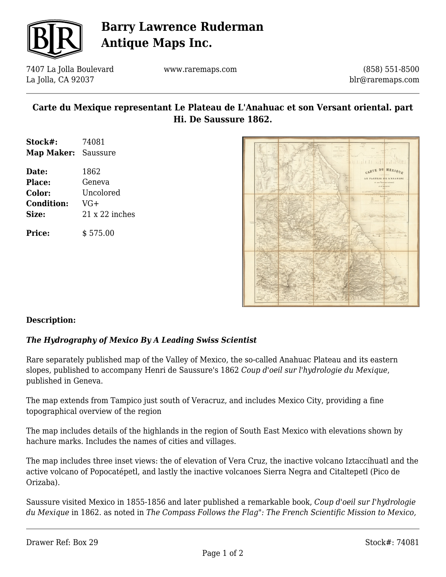

# **Barry Lawrence Ruderman Antique Maps Inc.**

7407 La Jolla Boulevard La Jolla, CA 92037

www.raremaps.com

(858) 551-8500 blr@raremaps.com

### **Carte du Mexique representant Le Plateau de L'Anahuac et son Versant oriental. part Hi. De Saussure 1862.**

| Stock#:             | 74081          |
|---------------------|----------------|
| Map Maker: Saussure |                |
| Date:               | 1862           |
| <b>Place:</b>       | Geneva         |
| <b>Color:</b>       | Uncolored      |
| <b>Condition:</b>   | $VG+$          |
| Size:               | 21 x 22 inches |
| <b>Price:</b>       | \$575.00       |



#### **Description:**

#### *The Hydrography of Mexico By A Leading Swiss Scientist*

Rare separately published map of the Valley of Mexico, the so-called Anahuac Plateau and its eastern slopes, published to accompany Henri de Saussure's 1862 *Coup d'oeil sur l'hydrologie du Mexique*, published in Geneva.

The map extends from Tampico just south of Veracruz, and includes Mexico City, providing a fine topographical overview of the region

The map includes details of the highlands in the region of South East Mexico with elevations shown by hachure marks. Includes the names of cities and villages.

The map includes three inset views: the of elevation of Vera Cruz, the inactive volcano Iztaccíhuatl and the active volcano of Popocatépetl, and lastly the inactive volcanoes Sierra Negra and Citaltepetl (Pico de Orizaba).

Saussure visited Mexico in 1855-1856 and later published a remarkable book, *Coup d'oeil sur I'hydrologie du Mexique* in 1862. as noted in *The Compass Follows the Flag": The French Scientific Mission to Mexico,*